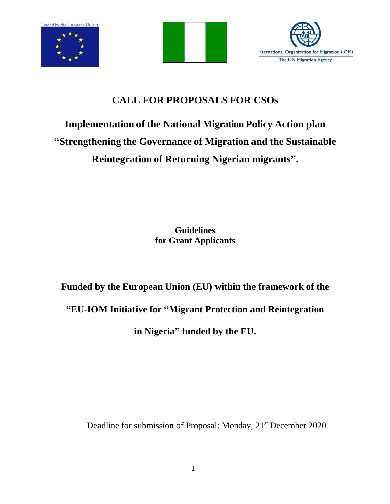





### **CALL FOR PROPOSALS FOR CSOs**

## **Implementation of the National Migration Policy Action plan "Strengthening the Governance of Migration and the Sustainable Reintegration of Returning Nigerian migrants".**

**Guidelines for Grant Applicants**

# **Funded by the European Union (EU) within the framework of the "EU-IOM Initiative for "Migrant Protection and Reintegration in Nigeria" funded by the EU.**

Deadline for submission of Proposal: Monday, 21<sup>st</sup> December 2020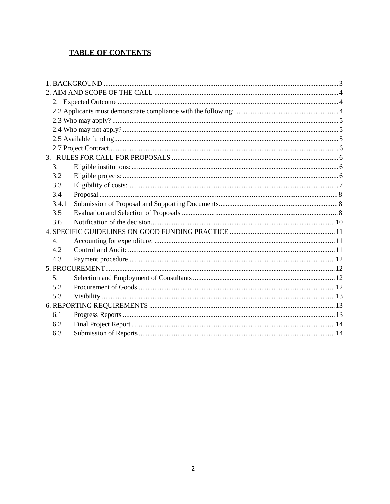#### **TABLE OF CONTENTS**

| 3.1   |  |  |  |  |
|-------|--|--|--|--|
| 3.2   |  |  |  |  |
| 3.3   |  |  |  |  |
| 3.4   |  |  |  |  |
| 3.4.1 |  |  |  |  |
| 3.5   |  |  |  |  |
| 3.6   |  |  |  |  |
|       |  |  |  |  |
| 4.1   |  |  |  |  |
| 4.2   |  |  |  |  |
| 4.3   |  |  |  |  |
|       |  |  |  |  |
| 5.1   |  |  |  |  |
| 5.2   |  |  |  |  |
| 5.3   |  |  |  |  |
|       |  |  |  |  |
| 6.1   |  |  |  |  |
| 6.2   |  |  |  |  |
| 6.3   |  |  |  |  |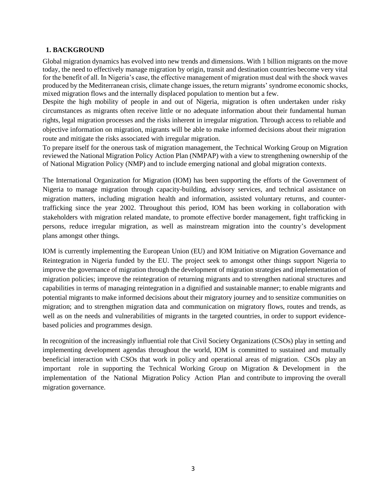#### **1. BACKGROUND**

Global migration dynamics has evolved into new trends and dimensions. With 1 billion migrants on the move today, the need to effectively manage migration by origin, transit and destination countries become very vital for the benefit of all. In Nigeria's case, the effective management of migration must deal with the shock waves produced by the Mediterranean crisis, climate change issues, the return migrants' syndrome economic shocks, mixed migration flows and the internally displaced population to mention but a few.

Despite the high mobility of people in and out of Nigeria, migration is often undertaken under risky circumstances as migrants often receive little or no adequate information about their fundamental human rights, legal migration processes and the risks inherent in irregular migration. Through access to reliable and objective information on migration, migrants will be able to make informed decisions about their migration route and mitigate the risks associated with irregular migration.

To prepare itself for the onerous task of migration management, the Technical Working Group on Migration reviewed the National Migration Policy Action Plan (NMPAP) with a view to strengthening ownership of the of National Migration Policy (NMP) and to include emerging national and global migration contexts.

The International Organization for Migration (IOM) has been supporting the efforts of the Government of Nigeria to manage migration through capacity-building, advisory services, and technical assistance on migration matters, including migration health and information, assisted voluntary returns, and countertrafficking since the year 2002. Throughout this period, IOM has been working in collaboration with stakeholders with migration related mandate, to promote effective border management, fight trafficking in persons, reduce irregular migration, as well as mainstream migration into the country's development plans amongst other things.

IOM is currently implementing the European Union (EU) and IOM Initiative on Migration Governance and Reintegration in Nigeria funded by the EU. The project seek to amongst other things support Nigeria to improve the governance of migration through the development of migration strategies and implementation of migration policies; improve the reintegration of returning migrants and to strengthen national structures and capabilities in terms of managing reintegration in a dignified and sustainable manner; to enable migrants and potential migrants to make informed decisions about their migratory journey and to sensitize communities on migration; and to strengthen migration data and communication on migratory flows, routes and trends, as well as on the needs and vulnerabilities of migrants in the targeted countries, in order to support evidencebased policies and programmes design.

In recognition of the increasingly influential role that Civil Society Organizations (CSOs) play in setting and implementing development agendas throughout the world, IOM is committed to sustained and mutually beneficial interaction with CSOs that work in policy and operational areas of migration. CSOs play an important role in supporting the Technical Working Group on Migration & Development in the implementation of the National Migration Policy Action Plan and contribute to improving the overall migration governance.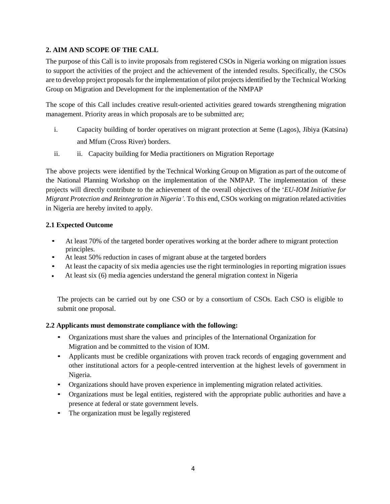#### **2. AIM AND SCOPE OF THE CALL**

The purpose of this Call is to invite proposals from registered CSOs in Nigeria working on migration issues to support the activities of the project and the achievement of the intended results. Specifically, the CSOs are to develop project proposals for the implementation of pilot projects identified by the Technical Working Group on Migration and Development for the implementation of the NMPAP

The scope of this Call includes creative result-oriented activities geared towards strengthening migration management. Priority areas in which proposals are to be submitted are;

- i. Capacity building of border operatives on migrant protection at Seme (Lagos), Jibiya (Katsina) and Mfum (Cross River) borders.
- ii. ii. Capacity building for Media practitioners on Migration Reportage

The above projects were identified by the Technical Working Group on Migration as part of the outcome of the National Planning Workshop on the implementation of the NMPAP. The implementation of these projects will directly contribute to the achievement of the overall objectives of the '*EU-IOM Initiative for Migrant Protection and Reintegration in Nigeria'.* To this end, CSOs working on migration related activities in Nigeria are hereby invited to apply.

#### **2.1 Expected Outcome**

- At least 70% of the targeted border operatives working at the border adhere to migrant protection principles.
- At least 50% reduction in cases of migrant abuse at the targeted borders
- At least the capacity of six media agencies use the right terminologies in reporting migration issues
- At least six (6) media agencies understand the general migration context in Nigeria

The projects can be carried out by one CSO or by a consortium of CSOs. Each CSO is eligible to submit one proposal.

#### **2.2 Applicants must demonstrate compliance with the following:**

- Organizations must share the values and principles of the International Organization for Migration and be committed to the vision of IOM.
- Applicants must be credible organizations with proven track records of engaging government and other institutional actors for a people-centred intervention at the highest levels of government in Nigeria.
- Organizations should have proven experience in implementing migration related activities.
- Organizations must be legal entities, registered with the appropriate public authorities and have a presence at federal or state government levels.
- The organization must be legally registered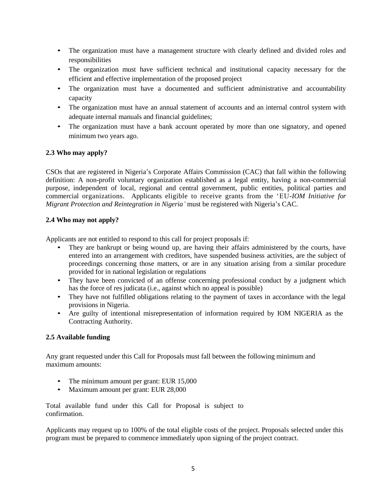- The organization must have a management structure with clearly defined and divided roles and responsibilities
- The organization must have sufficient technical and institutional capacity necessary for the efficient and effective implementation of the proposed project
- The organization must have a documented and sufficient administrative and accountability capacity
- The organization must have an annual statement of accounts and an internal control system with adequate internal manuals and financial guidelines;
- The organization must have a bank account operated by more than one signatory, and opened minimum two years ago.

#### **2.3 Who may apply?**

CSOs that are registered in Nigeria's Corporate Affairs Commission (CAC) that fall within the following definition: A non-profit voluntary organization established as a legal entity, having a non-commercial purpose, independent of local, regional and central government, public entities, political parties and commercial organizations. Applicants eligible to receive grants from the 'EU*-IOM Initiative for Migrant Protection and Reintegration in Nigeria'* must be registered with Nigeria's CAC.

#### **2.4 Who may not apply?**

Applicants are not entitled to respond to this call for project proposals if:

- They are bankrupt or being wound up, are having their affairs administered by the courts, have entered into an arrangement with creditors, have suspended business activities, are the subject of proceedings concerning those matters, or are in any situation arising from a similar procedure provided for in national legislation or regulations
- They have been convicted of an offense concerning professional conduct by a judgment which has the force of res judicata (i.e., against which no appeal is possible)
- They have not fulfilled obligations relating to the payment of taxes in accordance with the legal provisions in Nigeria.
- Are guilty of intentional misrepresentation of information required by IOM NIGERIA as the Contracting Authority.

#### **2.5 Available funding**

Any grant requested under this Call for Proposals must fall between the following minimum and maximum amounts:

- The minimum amount per grant: EUR 15,000
- Maximum amount per grant: EUR 28,000

Total available fund under this Call for Proposal is subject to confirmation.

Applicants may request up to 100% of the total eligible costs of the project. Proposals selected under this program must be prepared to commence immediately upon signing of the project contract.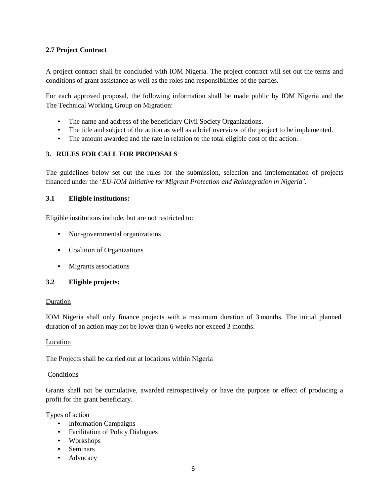#### **2.7 Project Contract**

A project contract shall be concluded with IOM Nigeria. The project contract will set out the terms and conditions of grant assistance as well as the roles and responsibilities of the parties.

For each approved proposal, the following information shall be made public by IOM Nigeria and the The Technical Working Group on Migration:

- The name and address of the beneficiary Civil Society Organizations.
- The title and subject of the action as well as a brief overview of the project to be implemented.
- The amount awarded and the rate in relation to the total eligible cost of the action.

#### **3. RULES FOR CALL FOR PROPOSALS**

The guidelines below set out the rules for the submission, selection and implementation of projects financed under the '*EU-IOM Initiative for Migrant Protection and Reintegration in Nigeria'*.

#### **3.1 Eligible institutions:**

Eligible institutions include, but are not restricted to:

- Non-governmental organizations
- Coalition of Organizations
- Migrants associations

#### **3.2 Eligible projects:**

#### Duration

IOM Nigeria shall only finance projects with a maximum duration of 3 months. The initial planned duration of an action may not be lower than 6 weeks nor exceed 3 months.

#### Location

The Projects shall be carried out at locations within Nigeria

#### Conditions

Grants shall not be cumulative, awarded retrospectively or have the purpose or effect of producing a profit for the grant beneficiary.

#### Types of action

- Information Campaigns
- Facilitation of Policy Dialogues
- Workshops
- Seminars
- Advocacy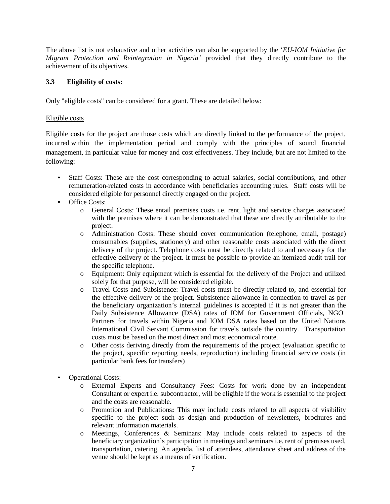The above list is not exhaustive and other activities can also be supported by the '*EU-IOM Initiative for Migrant Protection and Reintegration in Nigeria'* provided that they directly contribute to the achievement of its objectives.

#### **3.3 Eligibility of costs:**

Only "eligible costs" can be considered for a grant. These are detailed below:

#### Eligible costs

Eligible costs for the project are those costs which are directly linked to the performance of the project, incurred within the implementation period and comply with the principles of sound financial management, in particular value for money and cost effectiveness. They include, but are not limited to the following:

- Staff Costs: These are the cost corresponding to actual salaries, social contributions, and other remuneration-related costs in accordance with beneficiaries accounting rules. Staff costs will be considered eligible for personnel directly engaged on the project.
- Office Costs:
	- o General Costs: These entail premises costs i.e. rent, light and service charges associated with the premises where it can be demonstrated that these are directly attributable to the project.
	- o Administration Costs: These should cover communication (telephone, email, postage) consumables (supplies, stationery) and other reasonable costs associated with the direct delivery of the project. Telephone costs must be directly related to and necessary for the effective delivery of the project. It must be possible to provide an itemized audit trail for the specific telephone.
	- o Equipment: Only equipment which is essential for the delivery of the Project and utilized solely for that purpose, will be considered eligible.
	- o Travel Costs and Subsistence: Travel costs must be directly related to, and essential for the effective delivery of the project. Subsistence allowance in connection to travel as per the beneficiary organization's internal guidelines is accepted if it is not greater than the Daily Subsistence Allowance (DSA) rates of IOM for Government Officials, NGO Partners for travels within Nigeria and IOM DSA rates based on the United Nations International Civil Servant Commission for travels outside the country. Transportation costs must be based on the most direct and most economical route.
	- o Other costs deriving directly from the requirements of the project (evaluation specific to the project, specific reporting needs, reproduction) including financial service costs (in particular bank fees for transfers)
- Operational Costs:
	- o External Experts and Consultancy Fees: Costs for work done by an independent Consultant or expert i.e. subcontractor, will be eligible if the work is essential to the project and the costs are reasonable.
	- o Promotion and Publications**:** This may include costs related to all aspects of visibility specific to the project such as design and production of newsletters, brochures and relevant information materials.
	- o Meetings, Conferences & Seminars: May include costs related to aspects of the beneficiary organization's participation in meetings and seminars i.e. rent of premises used, transportation, catering. An agenda, list of attendees, attendance sheet and address of the venue should be kept as a means of verification.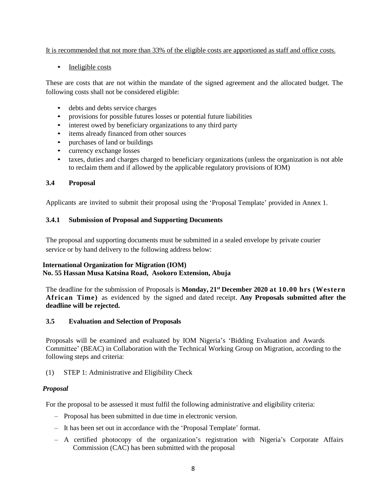#### It is recommended that not more than 33% of the eligible costs are apportioned as staff and office costs.

#### • Ineligible costs

These are costs that are not within the mandate of the signed agreement and the allocated budget. The following costs shall not be considered eligible:

- debts and debts service charges
- provisions for possible futures losses or potential future liabilities
- interest owed by beneficiary organizations to any third party
- items already financed from other sources
- purchases of land or buildings
- currency exchange losses
- taxes, duties and charges charged to beneficiary organizations (unless the organization is not able to reclaim them and if allowed by the applicable regulatory provisions of IOM)

#### **3.4 Proposal**

Applicants are invited to submit their proposal using the 'Proposal Template' provided in Annex 1.

#### **3.4.1 Submission of Proposal and Supporting Documents**

The proposal and supporting documents must be submitted in a sealed envelope by private courier service or by hand delivery to the following address below:

#### **International Organization for Migration (IOM) No. 55 Hassan Musa Katsina Road, Asokoro Extension, Abuja**

The deadline for the submission of Proposals is **Monday, 21st December 2020 at 10.00 hrs (Western African Time)** as evidenced by the signed and dated receipt. **Any Proposals submitted after the deadline will be rejected.**

#### **3.5 Evaluation and Selection of Proposals**

Proposals will be examined and evaluated by IOM Nigeria's 'Bidding Evaluation and Awards Committee' (BEAC) in Collaboration with the Technical Working Group on Migration, according to the following steps and criteria:

#### (1) STEP 1: Administrative and Eligibility Check

#### *Proposal*

For the proposal to be assessed it must fulfil the following administrative and eligibility criteria:

- Proposal has been submitted in due time in electronic version.
- It has been set out in accordance with the 'Proposal Template' format.
- A certified photocopy of the organization's registration with Nigeria's Corporate Affairs Commission (CAC) has been submitted with the proposal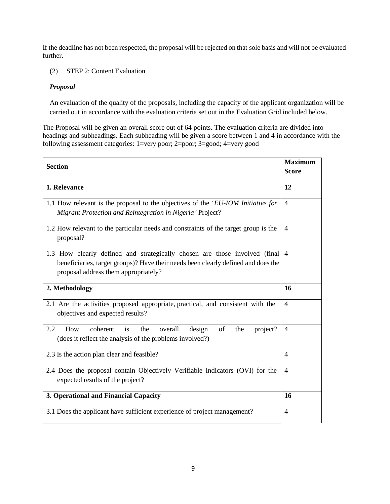If the deadline has not been respected, the proposal will be rejected on that sole basis and will not be evaluated further.

(2) STEP 2: Content Evaluation

#### *Proposal*

An evaluation of the quality of the proposals, including the capacity of the applicant organization will be carried out in accordance with the evaluation criteria set out in the Evaluation Grid included below.

The Proposal will be given an overall score out of 64 points. The evaluation criteria are divided into headings and subheadings. Each subheading will be given a score between 1 and 4 in accordance with the following assessment categories: 1=very poor; 2=poor; 3=good; 4=very good

| <b>Maximum</b><br><b>Section</b>                                                                                                                                                                        |                |
|---------------------------------------------------------------------------------------------------------------------------------------------------------------------------------------------------------|----------------|
|                                                                                                                                                                                                         | <b>Score</b>   |
| 1. Relevance                                                                                                                                                                                            |                |
| 1.1 How relevant is the proposal to the objectives of the 'EU-IOM Initiative for<br>Migrant Protection and Reintegration in Nigeria' Project?                                                           |                |
| 1.2 How relevant to the particular needs and constraints of the target group is the<br>proposal?                                                                                                        |                |
| 1.3 How clearly defined and strategically chosen are those involved (final<br>beneficiaries, target groups)? Have their needs been clearly defined and does the<br>proposal address them appropriately? |                |
| 2. Methodology                                                                                                                                                                                          |                |
| 2.1 Are the activities proposed appropriate, practical, and consistent with the<br>objectives and expected results?                                                                                     |                |
| coherent<br>of<br>2.2<br>How<br>is<br>the<br>overall<br>the<br>design<br>project?<br>(does it reflect the analysis of the problems involved?)                                                           | $\overline{4}$ |
| 2.3 Is the action plan clear and feasible?                                                                                                                                                              | $\overline{4}$ |
| 2.4 Does the proposal contain Objectively Verifiable Indicators (OVI) for the<br>expected results of the project?                                                                                       |                |
| 3. Operational and Financial Capacity                                                                                                                                                                   |                |
| 3.1 Does the applicant have sufficient experience of project management?                                                                                                                                | $\overline{4}$ |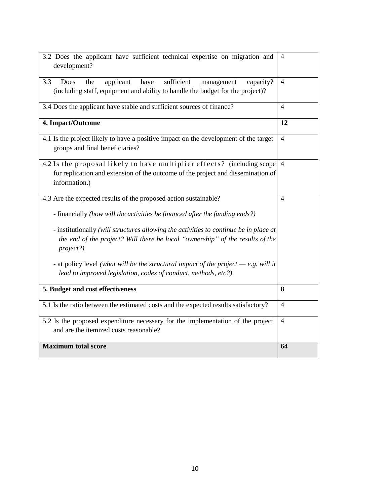| 3.2 Does the applicant have sufficient technical expertise on migration and<br>development?                                                                                                                                                                                                                                                                                                                                                                                                      | 4              |  |
|--------------------------------------------------------------------------------------------------------------------------------------------------------------------------------------------------------------------------------------------------------------------------------------------------------------------------------------------------------------------------------------------------------------------------------------------------------------------------------------------------|----------------|--|
| applicant<br>have<br>sufficient<br>3.3<br>Does<br>capacity?<br>the<br>management<br>(including staff, equipment and ability to handle the budget for the project)?                                                                                                                                                                                                                                                                                                                               | $\overline{4}$ |  |
| 3.4 Does the applicant have stable and sufficient sources of finance?                                                                                                                                                                                                                                                                                                                                                                                                                            |                |  |
| 4. Impact/Outcome                                                                                                                                                                                                                                                                                                                                                                                                                                                                                | 12             |  |
| 4.1 Is the project likely to have a positive impact on the development of the target<br>groups and final beneficiaries?                                                                                                                                                                                                                                                                                                                                                                          |                |  |
| 4.2 Is the proposal likely to have multiplier effects? (including scope<br>for replication and extension of the outcome of the project and dissemination of<br>information.)                                                                                                                                                                                                                                                                                                                     | $\overline{4}$ |  |
| 4.3 Are the expected results of the proposed action sustainable?<br>- financially (how will the activities be financed after the funding ends?)<br>- institutionally (will structures allowing the activities to continue be in place at<br>the end of the project? Will there be local "ownership" of the results of the<br>project?)<br>- at policy level (what will be the structural impact of the project $-e.g.$ will it<br>lead to improved legislation, codes of conduct, methods, etc?) | 4              |  |
| 5. Budget and cost effectiveness                                                                                                                                                                                                                                                                                                                                                                                                                                                                 |                |  |
| 5.1 Is the ratio between the estimated costs and the expected results satisfactory?                                                                                                                                                                                                                                                                                                                                                                                                              | 4              |  |
| 5.2 Is the proposed expenditure necessary for the implementation of the project<br>and are the itemized costs reasonable?                                                                                                                                                                                                                                                                                                                                                                        |                |  |
| <b>Maximum total score</b>                                                                                                                                                                                                                                                                                                                                                                                                                                                                       | 64             |  |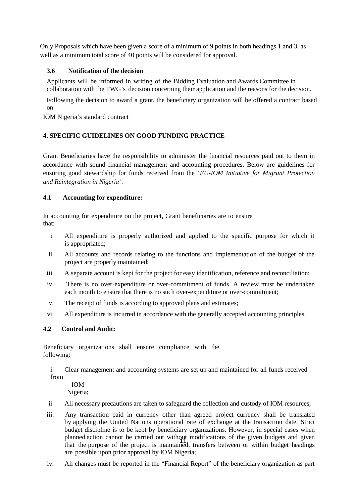Only Proposals which have been given a score of a minimum of 9 points in both headings 1 and 3, as well as a minimum total score of 40 points will be considered for approval.

#### **3.6 Notification of the decision**

Applicants will be informed in writing of the Bidding Evaluation and Awards Committee in collaboration with the TWG's decision concerning their application and the reasons for the decision.

Following the decision to award a grant, the beneficiary organization will be offered a contract based on

IOM Nigeria's standard contract

#### **4. SPECIFIC GUIDELINES ON GOOD FUNDING PRACTICE**

Grant Beneficiaries have the responsibility to administer the financial resources paid out to them in accordance with sound financial management and accounting procedures. Below are guidelines for ensuring good stewardship for funds received from the '*EU-IOM Initiative for Migrant Protection and Reintegration in Nigeria'*.

#### **4.1 Accounting for expenditure:**

In accounting for expenditure on the project, Grant beneficiaries are to ensure that:

- i. All expenditure is properly authorized and applied to the specific purpose for which it is appropriated;
- ii. All accounts and records relating to the functions and implementation of the budget of the project are properly maintained;
- iii. A separate account is kept for the project for easy identification, reference and reconciliation;
- iv. There is no over-expenditure or over-commitment of funds. A review must be undertaken each month to ensure that there is no such over‐expenditure or over-commitment;
- v. The receipt of funds is according to approved plans and estimates;
- vi. All expenditure is incurred in accordance with the generally accepted accounting principles.

#### **4.2 Control and Audit:**

Beneficiary organizations shall ensure compliance with the following:

i. Clear management and accounting systems are set up and maintained for all funds received from

IOM Nigeria;

- ii. All necessary precautions are taken to safeguard the collection and custody of IOM resources;
- planned action cannot be carried out while the modifications of the given budgets and given<br>that the purpose of the project is maintained, transfers between or within budget headings iii. Any transaction paid in currency other than agreed project currency shall be translated by applying the United Nations operational rate of exchange at the transaction date. Strict budget discipline is to be kept by beneficiary organizations. However, in special cases when planned action cannot be carried out without modifications of the given budgets and given are possible upon prior approval by IOM Nigeria;
- iv. All changes must be reported in the "Financial Report" of the beneficiary organization as part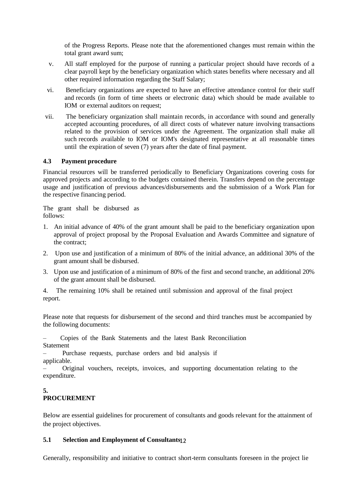of the Progress Reports. Please note that the aforementioned changes must remain within the total grant award sum;

- v. All staff employed for the purpose of running a particular project should have records of a clear payroll kept by the beneficiary organization which states benefits where necessary and all other required information regarding the Staff Salary;
- vi. Beneficiary organizations are expected to have an effective attendance control for their staff and records (in form of time sheets or electronic data) which should be made available to IOM or external auditors on request;
- vii. The beneficiary organization shall maintain records, in accordance with sound and generally accepted accounting procedures, of all direct costs of whatever nature involving transactions related to the provision of services under the Agreement. The organization shall make all such records available to IOM or IOM's designated representative at all reasonable times until the expiration of seven (7) years after the date of final payment.

#### **4.3 Payment procedure**

Financial resources will be transferred periodically to Beneficiary Organizations covering costs for approved projects and according to the budgets contained therein. Transfers depend on the percentage usage and justification of previous advances/disbursements and the submission of a Work Plan for the respective financing period.

The grant shall be disbursed as follows:

- 1. An initial advance of 40% of the grant amount shall be paid to the beneficiary organization upon approval of project proposal by the Proposal Evaluation and Awards Committee and signature of the contract;
- 2. Upon use and justification of a minimum of 80% of the initial advance, an additional 30% of the grant amount shall be disbursed.
- 3. Upon use and justification of a minimum of 80% of the first and second tranche, an additional 20% of the grant amount shall be disbursed.

4. The remaining 10% shall be retained until submission and approval of the final project report.

Please note that requests for disbursement of the second and third tranches must be accompanied by the following documents:

– Copies of the Bank Statements and the latest Bank Reconciliation Statement

– Purchase requests, purchase orders and bid analysis if applicable.

– Original vouchers, receipts, invoices, and supporting documentation relating to the expenditure.

#### **5. PROCUREMENT**

Below are essential guidelines for procurement of consultants and goods relevant for the attainment of the project objectives.

#### 12 **5.1 Selection and Employment of Consultants**

Generally, responsibility and initiative to contract short-term consultants foreseen in the project lie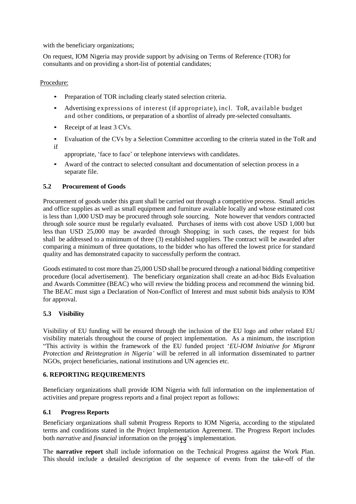with the beneficiary organizations;

On request, IOM Nigeria may provide support by advising on Terms of Reference (TOR) for consultants and on providing a short-list of potential candidates;

Procedure:

- Preparation of TOR including clearly stated selection criteria.
- Advertising expressions of interest (if appropriate), incl. ToR, available budget and other conditions, or preparation of a shortlist of already pre-selected consultants.
- Receipt of at least 3 CVs.
- Evaluation of the CVs by a Selection Committee according to the criteria stated in the ToR and if

appropriate, 'face to face' or telephone interviews with candidates.

• Award of the contract to selected consultant and documentation of selection process in a separate file.

#### **5.2 Procurement of Goods**

Procurement of goods under this grant shall be carried out through a competitive process. Small articles and office supplies as well as small equipment and furniture available locally and whose estimated cost is less than 1,000 USD may be procured through sole sourcing. Note however that vendors contracted through sole source must be regularly evaluated. Purchases of items with cost above USD 1,000 but less than USD 25,000 may be awarded through Shopping; in such cases, the request for bids shall be addressed to a minimum of three (3) established suppliers. The contract will be awarded after comparing a minimum of three quotations, to the bidder who has offered the lowest price for standard quality and has demonstrated capacity to successfully perform the contract.

Goods estimated to cost more than 25,000 USD shall be procured through a national bidding competitive procedure (local advertisement). The beneficiary organization shall create an ad-hoc Bids Evaluation and Awards Committee (BEAC) who will review the bidding process and recommend the winning bid. The BEAC must sign a Declaration of Non-Conflict of Interest and must submit bids analysis to IOM for approval.

#### **5.3 Visibility**

Visibility of EU funding will be ensured through the inclusion of the EU logo and other related EU visibility materials throughout the course of project implementation. As a minimum, the inscription "This activity is within the framework of the EU funded project '*EU-IOM Initiative for Migrant Protection and Reintegration in Nigeria'* will be referred in all information disseminated to partner NGOs, project beneficiaries, national institutions and UN agencies etc.

#### **6. REPORTING REQUIREMENTS**

Beneficiary organizations shall provide IOM Nigeria with full information on the implementation of activities and prepare progress reports and a final project report as follows:

#### **6.1 Progress Reports**

both *narrative* and *financial* information on the project's implementation. Beneficiary organizations shall submit Progress Reports to IOM Nigeria, according to the stipulated terms and conditions stated in the Project Implementation Agreement. The Progress Report includes

The **narrative report** shall include information on the Technical Progress against the Work Plan. This should include a detailed description of the sequence of events from the take-off of the